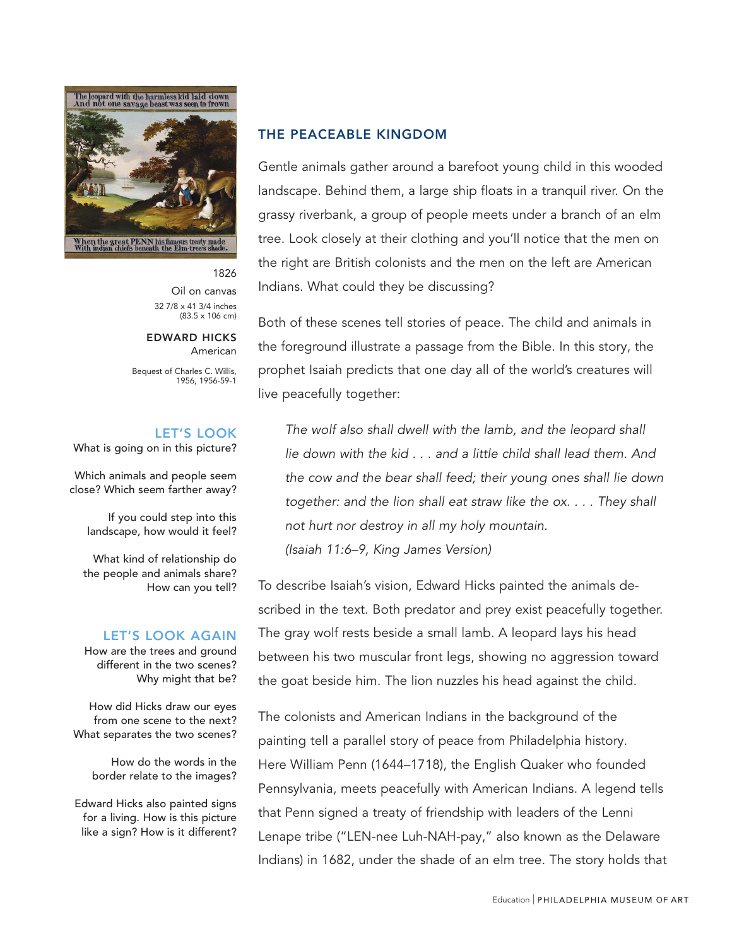

#### 1826 Oil on canvas 32 7/8 x 41 3/4 inches (83.5 x 106 cm)

#### EDWARD HICKS American

Bequest of Charles C. Willis, 1956, 1956-59-1

#### LET'S LOOK

What is going on in this picture?

Which animals and people seem close? Which seem farther away?

> If you could step into this landscape, how would it feel?

What kind of relationship do the people and animals share? How can you tell?

#### LET'S LOOK AGAIN

How are the trees and ground different in the two scenes? Why might that be?

How did Hicks draw our eyes from one scene to the next? What separates the two scenes?

> How do the words in the border relate to the images?

Edward Hicks also painted signs for a living. How is this picture like a sign? How is it different?

# THE PEACEABLE KINGDOM

Gentle animals gather around a barefoot young child in this wooded landscape. Behind them, a large ship floats in a tranquil river. On the grassy riverbank, a group of people meets under a branch of an elm tree. Look closely at their clothing and you'll notice that the men on the right are British colonists and the men on the left are American Indians. What could they be discussing?

Both of these scenes tell stories of peace. The child and animals in the foreground illustrate a passage from the Bible. In this story, the prophet Isaiah predicts that one day all of the world's creatures will live peacefully together:

The wolf also shall dwell with the lamb, and the leopard shall lie down with the kid . . . and a little child shall lead them. And the cow and the bear shall feed; their young ones shall lie down together: and the lion shall eat straw like the ox. . . . They shall not hurt nor destroy in all my holy mountain. (Isaiah 11:6–9, King James Version)

To describe Isaiah's vision, Edward Hicks painted the animals described in the text. Both predator and prey exist peacefully together. The gray wolf rests beside a small lamb. A leopard lays his head between his two muscular front legs, showing no aggression toward the goat beside him. The lion nuzzles his head against the child.

The colonists and American Indians in the background of the painting tell a parallel story of peace from Philadelphia history. Here William Penn (1644–1718), the English Quaker who founded Pennsylvania, meets peacefully with American Indians. A legend tells that Penn signed a treaty of friendship with leaders of the Lenni Lenape tribe ("LEN-nee Luh-NAH-pay," also known as the Delaware Indians) in 1682, under the shade of an elm tree. The story holds that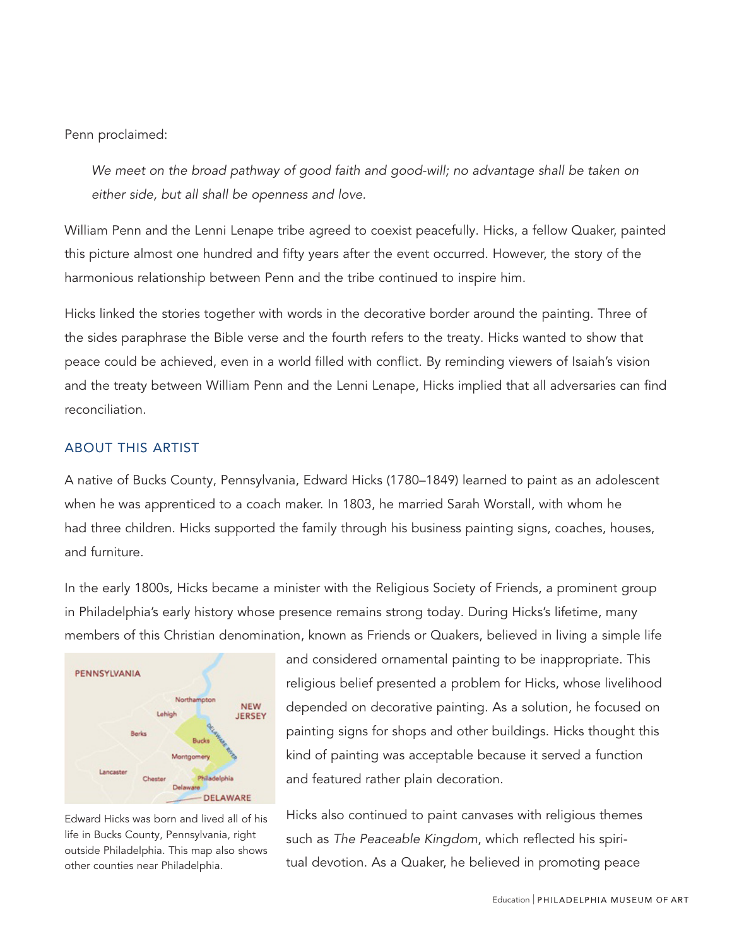Penn proclaimed:

We meet on the broad pathway of good faith and good-will; no advantage shall be taken on either side, but all shall be openness and love.

William Penn and the Lenni Lenape tribe agreed to coexist peacefully. Hicks, a fellow Quaker, painted this picture almost one hundred and fifty years after the event occurred. However, the story of the harmonious relationship between Penn and the tribe continued to inspire him.

Hicks linked the stories together with words in the decorative border around the painting. Three of the sides paraphrase the Bible verse and the fourth refers to the treaty. Hicks wanted to show that peace could be achieved, even in a world filled with conflict. By reminding viewers of Isaiah's vision and the treaty between William Penn and the Lenni Lenape, Hicks implied that all adversaries can find reconciliation.

# ABOUT THIS ARTIST

A native of Bucks County, Pennsylvania, Edward Hicks (1780–1849) learned to paint as an adolescent when he was apprenticed to a coach maker. In 1803, he married Sarah Worstall, with whom he had three children. Hicks supported the family through his business painting signs, coaches, houses, and furniture.

In the early 1800s, Hicks became a minister with the Religious Society of Friends, a prominent group in Philadelphia's early history whose presence remains strong today. During Hicks's lifetime, many members of this Christian denomination, known as Friends or Quakers, believed in living a simple life



Edward Hicks was born and lived all of his life in Bucks County, Pennsylvania, right outside Philadelphia. This map also shows other counties near Philadelphia.

and considered ornamental painting to be inappropriate. This religious belief presented a problem for Hicks, whose livelihood depended on decorative painting. As a solution, he focused on painting signs for shops and other buildings. Hicks thought this kind of painting was acceptable because it served a function and featured rather plain decoration.

Hicks also continued to paint canvases with religious themes such as The Peaceable Kingdom, which reflected his spiritual devotion. As a Quaker, he believed in promoting peace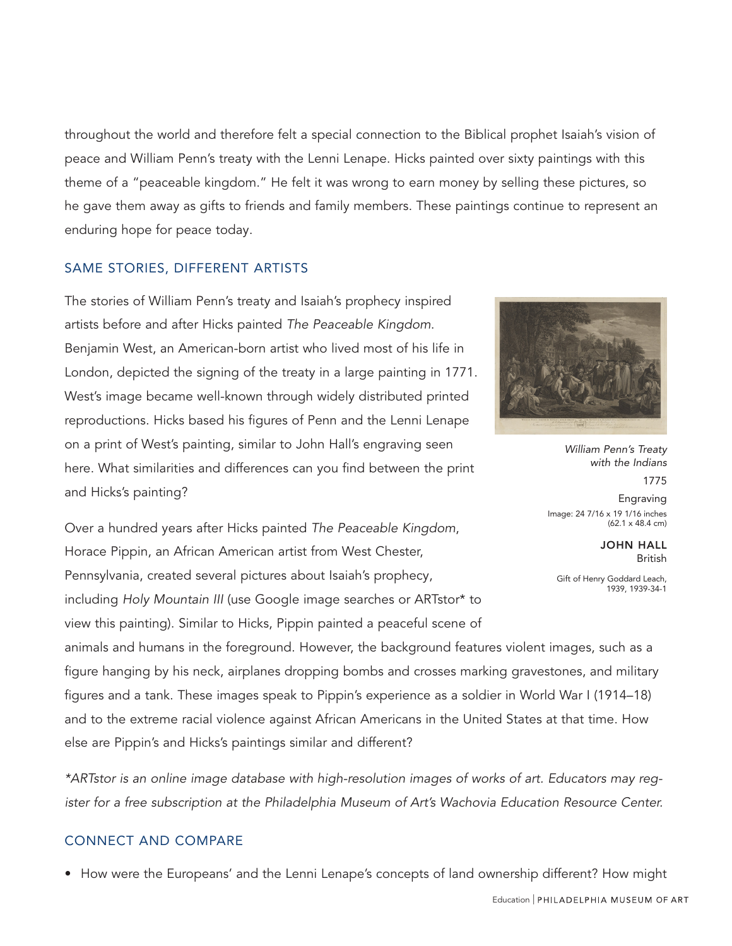throughout the world and therefore felt a special connection to the Biblical prophet Isaiah's vision of peace and William Penn's treaty with the Lenni Lenape. Hicks painted over sixty paintings with this theme of a "peaceable kingdom." He felt it was wrong to earn money by selling these pictures, so he gave them away as gifts to friends and family members. These paintings continue to represent an enduring hope for peace today.

# SAME STORIES, DIFFERENT ARTISTS

The stories of William Penn's treaty and Isaiah's prophecy inspired artists before and after Hicks painted The Peaceable Kingdom. Benjamin West, an American-born artist who lived most of his life in London, depicted the signing of the treaty in a large painting in 1771. West's image became well-known through widely distributed printed reproductions. Hicks based his figures of Penn and the Lenni Lenape on a print of West's painting, similar to John Hall's engraving seen here. What similarities and differences can you find between the print and Hicks's painting?

Over a hundred years after Hicks painted The Peaceable Kingdom, Horace Pippin, an African American artist from West Chester, Pennsylvania, created several pictures about Isaiah's prophecy, including Holy Mountain III (use Google image searches or ARTstor\* to view this painting). Similar to Hicks, Pippin painted a peaceful scene of



*William Penn's Treaty with the Indians* 1775 Engraving Image: 24 7/16 x 19 1/16 inches

JOHN HALL British

(62.1 x 48.4 cm)

Gift of Henry Goddard Leach, 1939, 1939-34-1

animals and humans in the foreground. However, the background features violent images, such as a figure hanging by his neck, airplanes dropping bombs and crosses marking gravestones, and military figures and a tank. These images speak to Pippin's experience as a soldier in World War I (1914–18) and to the extreme racial violence against African Americans in the United States at that time. How else are Pippin's and Hicks's paintings similar and different?

\*ARTstor is an online image database with high-resolution images of works of art. Educators may register for a free subscription at the Philadelphia Museum of Art's Wachovia Education Resource Center.

### CONNECT AND COMPARE

• How were the Europeans' and the Lenni Lenape's concepts of land ownership different? How might